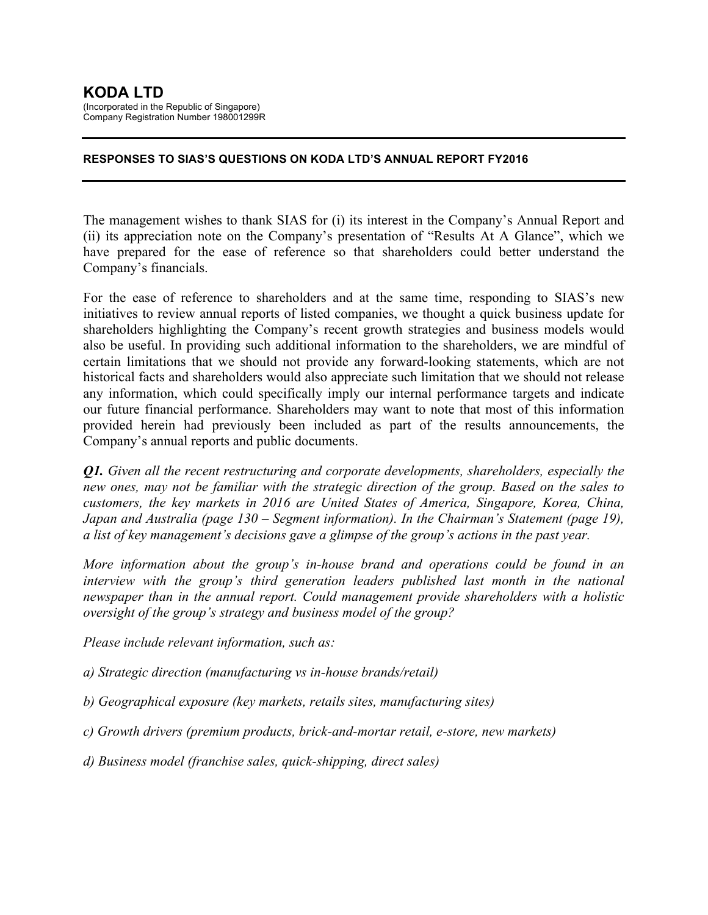#### **RESPONSES TO SIAS'S QUESTIONS ON KODA LTD'S ANNUAL REPORT FY2016**

The management wishes to thank SIAS for (i) its interest in the Company's Annual Report and (ii) its appreciation note on the Company's presentation of "Results At A Glance", which we have prepared for the ease of reference so that shareholders could better understand the Company's financials.

For the ease of reference to shareholders and at the same time, responding to SIAS's new initiatives to review annual reports of listed companies, we thought a quick business update for shareholders highlighting the Company's recent growth strategies and business models would also be useful. In providing such additional information to the shareholders, we are mindful of certain limitations that we should not provide any forward-looking statements, which are not historical facts and shareholders would also appreciate such limitation that we should not release any information, which could specifically imply our internal performance targets and indicate our future financial performance. Shareholders may want to note that most of this information provided herein had previously been included as part of the results announcements, the Company's annual reports and public documents.

*Q1. Given all the recent restructuring and corporate developments, shareholders, especially the new ones, may not be familiar with the strategic direction of the group. Based on the sales to customers, the key markets in 2016 are United States of America, Singapore, Korea, China, Japan and Australia (page 130 – Segment information). In the Chairman's Statement (page 19), a list of key management's decisions gave a glimpse of the group's actions in the past year.*

*More information about the group's in-house brand and operations could be found in an interview with the group's third generation leaders published last month in the national newspaper than in the annual report. Could management provide shareholders with a holistic oversight of the group's strategy and business model of the group?*

*Please include relevant information, such as:*

*a) Strategic direction (manufacturing vs in-house brands/retail)*

*b) Geographical exposure (key markets, retails sites, manufacturing sites)*

*c) Growth drivers (premium products, brick-and-mortar retail, e-store, new markets)*

*d) Business model (franchise sales, quick-shipping, direct sales)*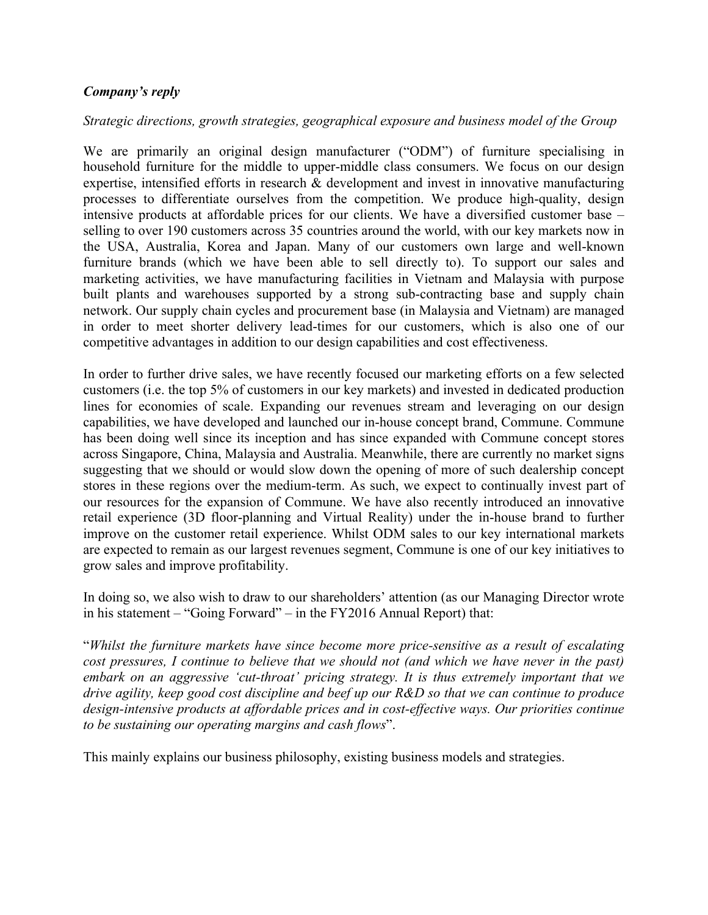### *Company's reply*

#### *Strategic directions, growth strategies, geographical exposure and business model of the Group*

We are primarily an original design manufacturer ("ODM") of furniture specialising in household furniture for the middle to upper-middle class consumers. We focus on our design expertise, intensified efforts in research & development and invest in innovative manufacturing processes to differentiate ourselves from the competition. We produce high-quality, design intensive products at affordable prices for our clients. We have a diversified customer base – selling to over 190 customers across 35 countries around the world, with our key markets now in the USA, Australia, Korea and Japan. Many of our customers own large and well-known furniture brands (which we have been able to sell directly to). To support our sales and marketing activities, we have manufacturing facilities in Vietnam and Malaysia with purpose built plants and warehouses supported by a strong sub-contracting base and supply chain network. Our supply chain cycles and procurement base (in Malaysia and Vietnam) are managed in order to meet shorter delivery lead-times for our customers, which is also one of our competitive advantages in addition to our design capabilities and cost effectiveness.

In order to further drive sales, we have recently focused our marketing efforts on a few selected customers (i.e. the top 5% of customers in our key markets) and invested in dedicated production lines for economies of scale. Expanding our revenues stream and leveraging on our design capabilities, we have developed and launched our in-house concept brand, Commune. Commune has been doing well since its inception and has since expanded with Commune concept stores across Singapore, China, Malaysia and Australia. Meanwhile, there are currently no market signs suggesting that we should or would slow down the opening of more of such dealership concept stores in these regions over the medium-term. As such, we expect to continually invest part of our resources for the expansion of Commune. We have also recently introduced an innovative retail experience (3D floor-planning and Virtual Reality) under the in-house brand to further improve on the customer retail experience. Whilst ODM sales to our key international markets are expected to remain as our largest revenues segment, Commune is one of our key initiatives to grow sales and improve profitability.

In doing so, we also wish to draw to our shareholders' attention (as our Managing Director wrote in his statement – "Going Forward" – in the FY2016 Annual Report) that:

"*Whilst the furniture markets have since become more price-sensitive as a result of escalating cost pressures, I continue to believe that we should not (and which we have never in the past) embark on an aggressive 'cut-throat' pricing strategy. It is thus extremely important that we drive agility, keep good cost discipline and beef up our R&D so that we can continue to produce design-intensive products at affordable prices and in cost-effective ways. Our priorities continue to be sustaining our operating margins and cash flows*".

This mainly explains our business philosophy, existing business models and strategies.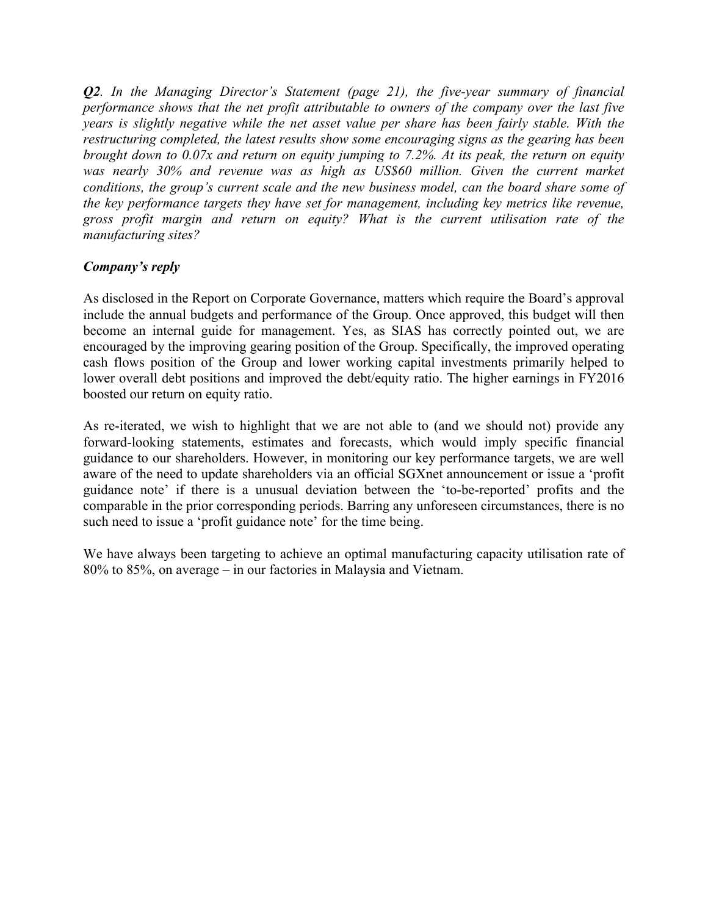*Q2. In the Managing Director's Statement (page 21), the five-year summary of financial performance shows that the net profit attributable to owners of the company over the last five years is slightly negative while the net asset value per share has been fairly stable. With the restructuring completed, the latest results show some encouraging signs as the gearing has been brought down to 0.07x and return on equity jumping to 7.2%. At its peak, the return on equity*  was nearly 30% and revenue was as high as US\$60 million. Given the current market *conditions, the group's current scale and the new business model, can the board share some of the key performance targets they have set for management, including key metrics like revenue, gross profit margin and return on equity? What is the current utilisation rate of the manufacturing sites?*

## *Company's reply*

As disclosed in the Report on Corporate Governance, matters which require the Board's approval include the annual budgets and performance of the Group. Once approved, this budget will then become an internal guide for management. Yes, as SIAS has correctly pointed out, we are encouraged by the improving gearing position of the Group. Specifically, the improved operating cash flows position of the Group and lower working capital investments primarily helped to lower overall debt positions and improved the debt/equity ratio. The higher earnings in FY2016 boosted our return on equity ratio.

As re-iterated, we wish to highlight that we are not able to (and we should not) provide any forward-looking statements, estimates and forecasts, which would imply specific financial guidance to our shareholders. However, in monitoring our key performance targets, we are well aware of the need to update shareholders via an official SGXnet announcement or issue a 'profit guidance note' if there is a unusual deviation between the 'to-be-reported' profits and the comparable in the prior corresponding periods. Barring any unforeseen circumstances, there is no such need to issue a 'profit guidance note' for the time being.

We have always been targeting to achieve an optimal manufacturing capacity utilisation rate of 80% to 85%, on average – in our factories in Malaysia and Vietnam.